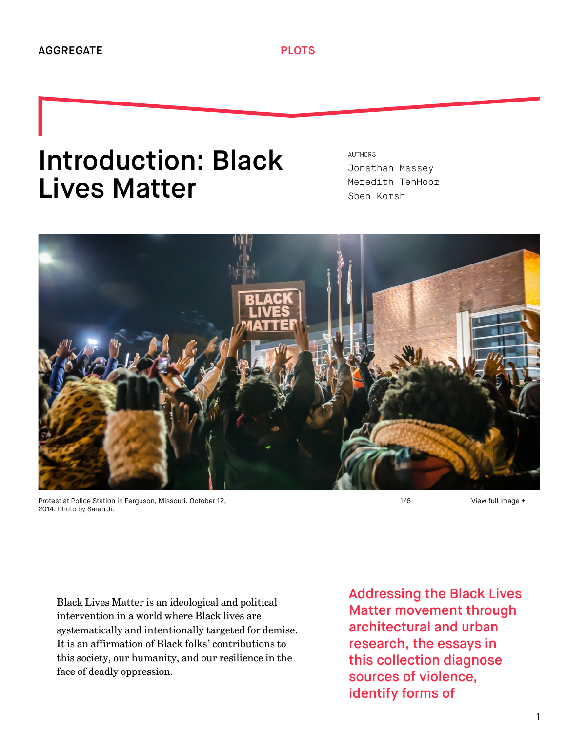# Introduction: Black Lives Matter

AUTHORS [Jonathan Massey](http://we-aggregate.org/people/jonathan-massey) [Meredith TenHoor](http://we-aggregate.org/people/meredith-tenhoor) [Sben Korsh](http://we-aggregate.org/people/sben-korsh)



Protest at Police Station in Ferguson, Missouri. October 12, 2014. Photo by [Sarah Ji](https://www.flickr.com/photos/sierraromeo/).

1/6

[View full image +](http://we-aggregate.org/media/files/1db06fb8cdf9111bb214ea49638c1aa8.jpg)

Black Lives Matter is an ideological and political intervention in a world where Black lives are systematically and intentionally targeted for demise. It is an affirmation of Black folks' contributions to this society, our humanity, and our resilience in the face of deadly oppression.

Addressing the Black Lives Matter movement through architectural and urban research, the essays in this collection diagnose sources of violence, identify forms of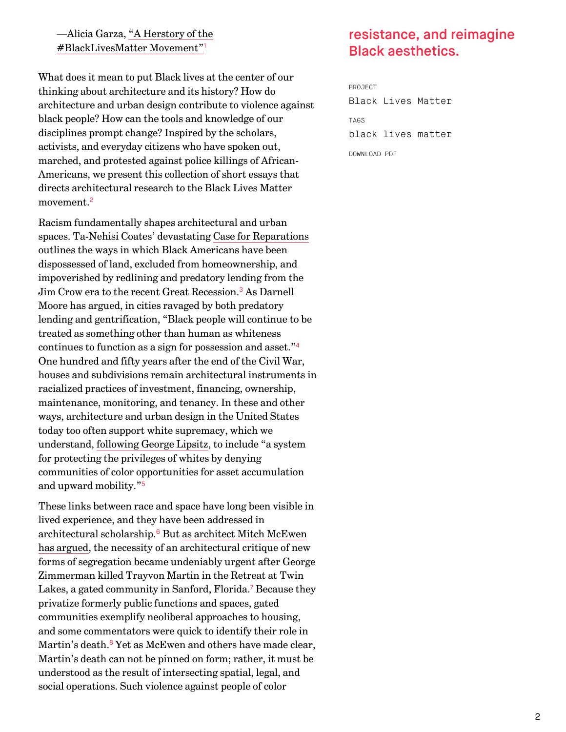[—Alicia Garza, "A Herstory of the](http://thefeministwire.com/2014/10/blacklivesmatter-2/) #BlackLivesMatter Movement" [1](#page-10-0)

What does it mean to put Black lives at the center of our thinking about architecture and its history? How do architecture and urban design contribute to violence against black people? How can the tools and knowledge of our disciplines prompt change? Inspired by the scholars, activists, and everyday citizens who have spoken out, marched, and protested against police killings of African-Americans, we present this collection of short essays that directs architectural research to the Black Lives Matter movement. [2](#page-10-1)

<span id="page-1-2"></span><span id="page-1-1"></span>Racism fundamentally shapes architectural and urban spaces. Ta-Nehisi Coates' devastating [Case for Reparations](http://www.theatlantic.com/features/archive/2014/05/the-case-for-reparations/361631/) outlines the ways in which Black Americans have been dispossessed of land, excluded from homeownership, and impoverished by redlining and predatory lending from the Jim Crow era to the recent Great Recession.<sup>[3](#page-10-2)</sup> As Darnell Moore has argued, in cities ravaged by both predatory lending and gentrification, "Black people will continue to be treated as something other than human as whiteness continues to function as a sign for possession and asset." [4](#page-10-3) One hundred and fifty years after the end of the Civil War, houses and subdivisions remain architectural instruments in racialized practices of investment, financing, ownership, maintenance, monitoring, and tenancy. In these and other ways, architecture and urban design in the United States today too often support white supremacy, which we understand, [following George Lipsitz](http://www.temple.edu/tempress/titles/1418_reg.html), to include "a system for protecting the privileges of whites by denying communities of color opportunities for asset accumulation and upward mobility." [5](#page-10-4)

<span id="page-1-7"></span><span id="page-1-6"></span><span id="page-1-5"></span><span id="page-1-4"></span>These links between race and space have long been visible in lived experience, and they have been addressed in architectural scholarship.<sup>[6](#page-10-5)</sup> But as architect Mitch McEwen [has argued, the necessity of an architectural critique of new](http://www.huffingtonpost.com/mitch-mcewen/what-does-sanford-florida_b_1392677.html) forms of segregation became undeniably urgent after George Zimmerman killed Trayvon Martin in the Retreat at Twin Lakes, a gated community in Sanford, Florida.<sup>[7](#page-10-6)</sup> Because they privatize formerly public functions and spaces, gated communities exemplify neoliberal approaches to housing, and some commentators were quick to identify their role in Martin's death. $8$  Yet as McEwen and others have made clear, Martin's death can not be pinned on form; rather, it must be understood as the result of intersecting spatial, legal, and social operations. Such violence against people of color

# <span id="page-1-0"></span>resistance, and reimagine Black aesthetics.

<span id="page-1-3"></span>PROJECT [Black Lives Matter](http://we-aggregate.org/project/black-lives-matter) TAGS [black lives matter](http://we-aggregate.org/tag/black-lives-matter) DOWNLOAD PDF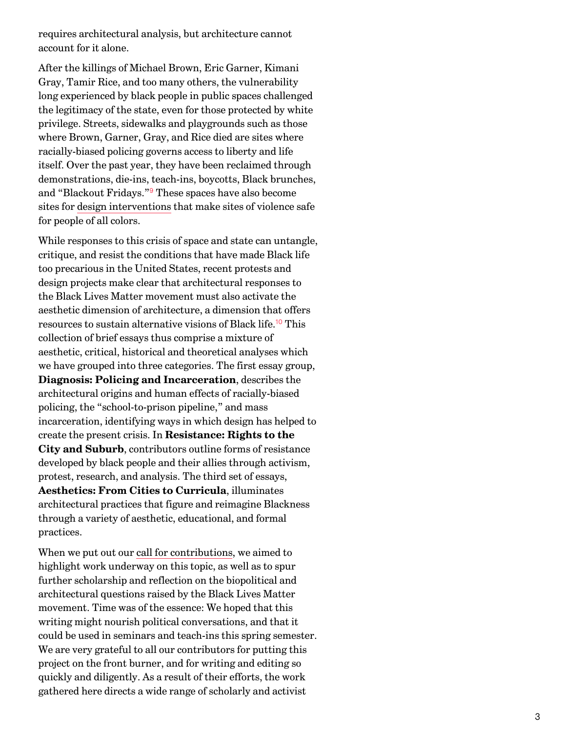requires architectural analysis, but architecture cannot account for it alone.

After the killings of Michael Brown, Eric Garner, Kimani Gray, Tamir Rice, and too many others, the vulnerability long experienced by black people in public spaces challenged the legitimacy of the state, even for those protected by white privilege. Streets, sidewalks and playgrounds such as those where Brown, Garner, Gray, and Rice died are sites where racially-biased policing governs access to liberty and life itself. Over the past year, they have been reclaimed through demonstrations, die-ins, teach-ins, boycotts, Black brunches, and "Blackout Fridays."<sup>[9](#page-11-0)</sup> These spaces have also become sites for [design interventions](http://we-aggregate.org/piece/farming-the-revolution) that make sites of violence safe for people of all colors.

<span id="page-2-1"></span><span id="page-2-0"></span>While responses to this crisis of space and state can untangle, critique, and resist the conditions that have made Black life too precarious in the United States, recent protests and design projects make clear that architectural responses to the Black Lives Matter movement must also activate the aesthetic dimension of architecture, a dimension that offers resources to sustain alternative visions of Black life.<sup>[10](#page-11-1)</sup> This collection of brief essays thus comprise a mixture of aesthetic, critical, historical and theoretical analyses which we have grouped into three categories. The first essay group, **Diagnosis: Policing and Incarceration**, describes the architectural origins and human effects of racially-biased policing, the "school-to-prison pipeline," and mass incarceration, identifying ways in which design has helped to create the present crisis. In **Resistance: Rights to the City and Suburb**, contributors outline forms of resistance developed by black people and their allies through activism, protest, research, and analysis. The third set of essays, **Aesthetics: From Cities to Curricula**, illuminates architectural practices that figure and reimagine Blackness through a variety of aesthetic, educational, and formal practices.

When we put out our [call for contributions](http://we-aggregate.org/project/blmcall), we aimed to highlight work underway on this topic, as well as to spur further scholarship and reflection on the biopolitical and architectural questions raised by the Black Lives Matter movement. Time was of the essence: We hoped that this writing might nourish political conversations, and that it could be used in seminars and teach-ins this spring semester. We are very grateful to all our contributors for putting this project on the front burner, and for writing and editing so quickly and diligently. As a result of their efforts, the work gathered here directs a wide range of scholarly and activist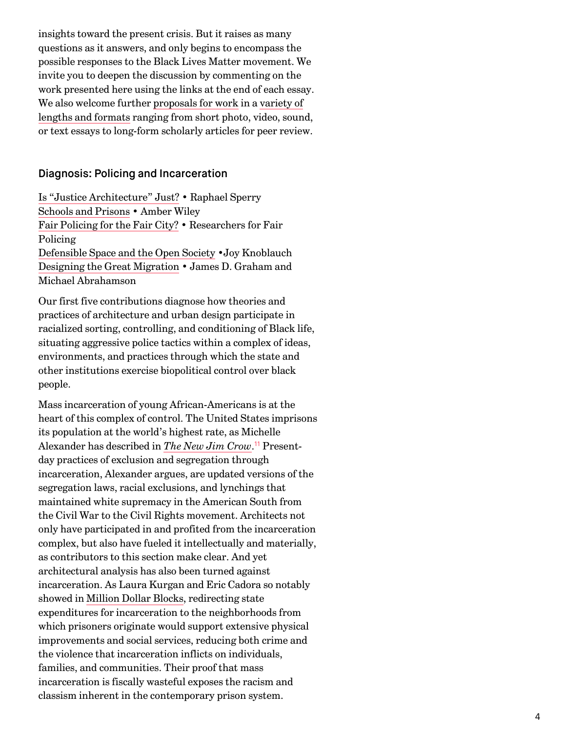insights toward the present crisis. But it raises as many questions as it answers, and only begins to encompass the possible responses to the Black Lives Matter movement. We invite you to deepen the discussion by commenting on the work presented here using the links at the end of each essay. [We also welcome further](http://we-aggregate.org/page/submission-guidelines) [proposals for work](mailto:plots@we-aggregate.org) [in a variety of](http://we-aggregate.org/page/submission-guidelines) lengths and formats ranging from short photo, video, sound, or text essays to long-form scholarly articles for peer review.

#### Diagnosis: Policing and Incarceration

[Is "Justice Architecture" Just?](http://we-aggregate.org/piece/is-justice-architecture-just) • Raphael Sperry [Schools and Prisons](http://we-aggregate.org/piece/schools-and-prisons) • Amber Wiley [Fair Policing for the Fair City?](http://we-aggregate.org/piece/fair-policing-for-the-fair-city) • Researchers for Fair Policing [Defensible Space and the Open Society](http://we-aggregate.org/piece/defensible-space-and-the-open-society) •Joy Knoblauch [Designing the Great Migration](http://we-aggregate.org/piece/designing-the-great-migration) • James D. Graham and Michael Abrahamson

Our first five contributions diagnose how theories and practices of architecture and urban design participate in racialized sorting, controlling, and conditioning of Black life, situating aggressive police tactics within a complex of ideas, environments, and practices through which the state and other institutions exercise biopolitical control over black people.

<span id="page-3-0"></span>Mass incarceration of young African-Americans is at the heart of this complex of control. The United States imprisons its population at the world's highest rate, as Michelle Alexander has described in *[The New Jim Crow](http://newjimcrow.com/)*.<sup>[11](#page-11-2)</sup> Presentday practices of exclusion and segregation through incarceration, Alexander argues, are updated versions of the segregation laws, racial exclusions, and lynchings that maintained white supremacy in the American South from the Civil War to the Civil Rights movement. Architects not only have participated in and profited from the incarceration complex, but also have fueled it intellectually and materially, as contributors to this section make clear. And yet architectural analysis has also been turned against incarceration. As Laura Kurgan and Eric Cadora so notably showed in [Million Dollar Blocks](http://spatialinformationdesignlab.org/projects/million-dollar-blocks), redirecting state expenditures for incarceration to the neighborhoods from which prisoners originate would support extensive physical improvements and social services, reducing both crime and the violence that incarceration inflicts on individuals, families, and communities. Their proof that mass incarceration is fiscally wasteful exposes the racism and classism inherent in the contemporary prison system.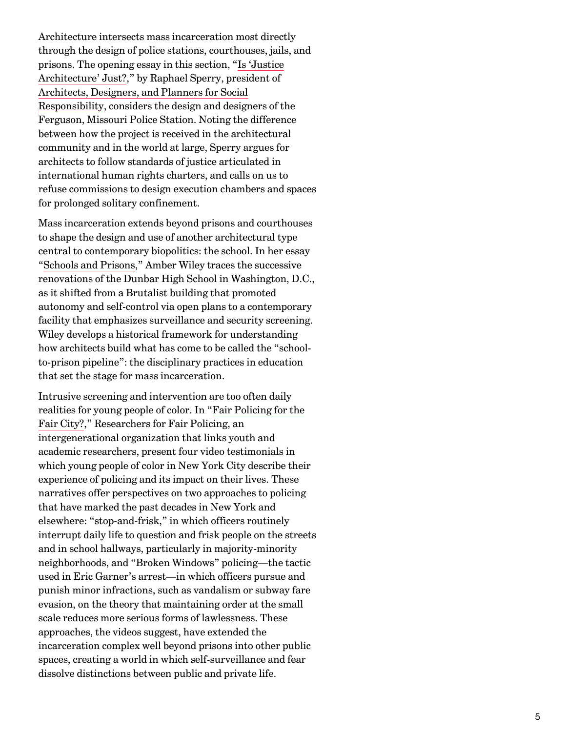Architecture intersects mass incarceration most directly through the design of police stations, courthouses, jails, and [prisons. The opening essay in this section, "Is 'Justice](http://we-aggregate.org/piece/is-justice-architecture-just) Architecture' Just?," by Raphael Sperry, president of [Architects, Designers, and Planners for Social](http://www.adpsr.org/) Responsibility, considers the design and designers of the Ferguson, Missouri Police Station. Noting the difference between how the project is received in the architectural community and in the world at large, Sperry argues for architects to follow standards of justice articulated in international human rights charters, and calls on us to refuse commissions to design execution chambers and spaces for prolonged solitary confinement.

Mass incarceration extends beyond prisons and courthouses to shape the design and use of another architectural type central to contemporary biopolitics: the school. In her essay ["Schools and Prisons](http://we-aggregate.org/piece/schools-and-prisons)," Amber Wiley traces the successive renovations of the Dunbar High School in Washington, D.C., as it shifted from a Brutalist building that promoted autonomy and self-control via open plans to a contemporary facility that emphasizes surveillance and security screening. Wiley develops a historical framework for understanding how architects build what has come to be called the "schoolto-prison pipeline": the disciplinary practices in education that set the stage for mass incarceration.

Intrusive screening and intervention are too often daily [realities for young people of color. In "Fair Policing for the](http://we-aggregate.org/piece/fair-policing-for-the-fair-city) Fair City?," Researchers for Fair Policing, an intergenerational organization that links youth and academic researchers, present four video testimonials in which young people of color in New York City describe their experience of policing and its impact on their lives. These narratives offer perspectives on two approaches to policing that have marked the past decades in New York and elsewhere: "stop-and-frisk," in which officers routinely interrupt daily life to question and frisk people on the streets and in school hallways, particularly in majority-minority neighborhoods, and "Broken Windows" policing—the tactic used in Eric Garner's arrest—in which officers pursue and punish minor infractions, such as vandalism or subway fare evasion, on the theory that maintaining order at the small scale reduces more serious forms of lawlessness. These approaches, the videos suggest, have extended the incarceration complex well beyond prisons into other public spaces, creating a world in which self-surveillance and fear dissolve distinctions between public and private life.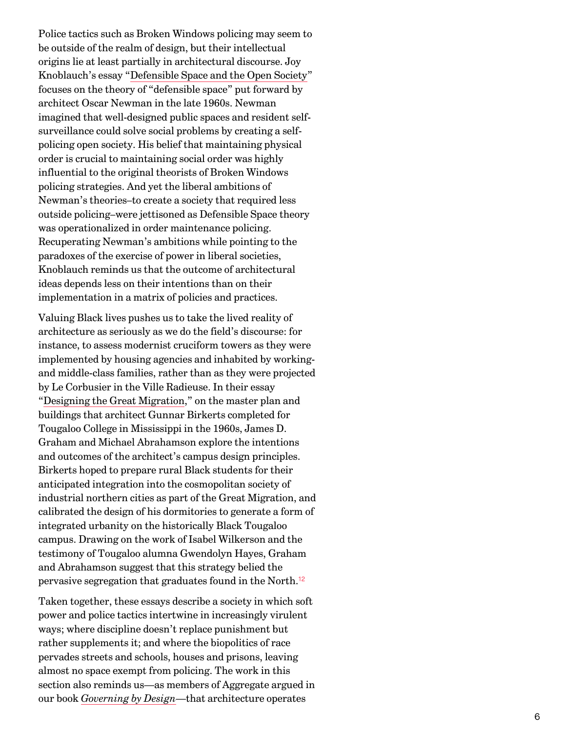Police tactics such as Broken Windows policing may seem to be outside of the realm of design, but their intellectual origins lie at least partially in architectural discourse. Joy Knoblauch's essay "[Defensible Space and the Open Society](http://we-aggregate.org/piece/defensible-space-and-the-open-society)" focuses on the theory of "defensible space" put forward by architect Oscar Newman in the late 1960s. Newman imagined that well-designed public spaces and resident selfsurveillance could solve social problems by creating a selfpolicing open society. His belief that maintaining physical order is crucial to maintaining social order was highly influential to the original theorists of Broken Windows policing strategies. And yet the liberal ambitions of Newman's theories–to create a society that required less outside policing–were jettisoned as Defensible Space theory was operationalized in order maintenance policing. Recuperating Newman's ambitions while pointing to the paradoxes of the exercise of power in liberal societies, Knoblauch reminds us that the outcome of architectural ideas depends less on their intentions than on their implementation in a matrix of policies and practices.

Valuing Black lives pushes us to take the lived reality of architecture as seriously as we do the field's discourse: for instance, to assess modernist cruciform towers as they were implemented by housing agencies and inhabited by workingand middle-class families, rather than as they were projected by Le Corbusier in the Ville Radieuse. In their essay ["Designing the Great Migration](http://we-aggregate.org/piece/designing-the-great-migration)," on the master plan and buildings that architect Gunnar Birkerts completed for Tougaloo College in Mississippi in the 1960s, James D. Graham and Michael Abrahamson explore the intentions and outcomes of the architect's campus design principles. Birkerts hoped to prepare rural Black students for their anticipated integration into the cosmopolitan society of industrial northern cities as part of the Great Migration, and calibrated the design of his dormitories to generate a form of integrated urbanity on the historically Black Tougaloo campus. Drawing on the work of Isabel Wilkerson and the testimony of Tougaloo alumna Gwendolyn Hayes, Graham and Abrahamson suggest that this strategy belied the pervasive segregation that graduates found in the North. [12](#page-11-3)

<span id="page-5-0"></span>Taken together, these essays describe a society in which soft power and police tactics intertwine in increasingly virulent ways; where discipline doesn't replace punishment but rather supplements it; and where the biopolitics of race pervades streets and schools, houses and prisons, leaving almost no space exempt from policing. The work in this section also reminds us—as members of Aggregate argued in our book *[Governing by Design](http://we-aggregate.org/project/governing-by-design)*—that architecture operates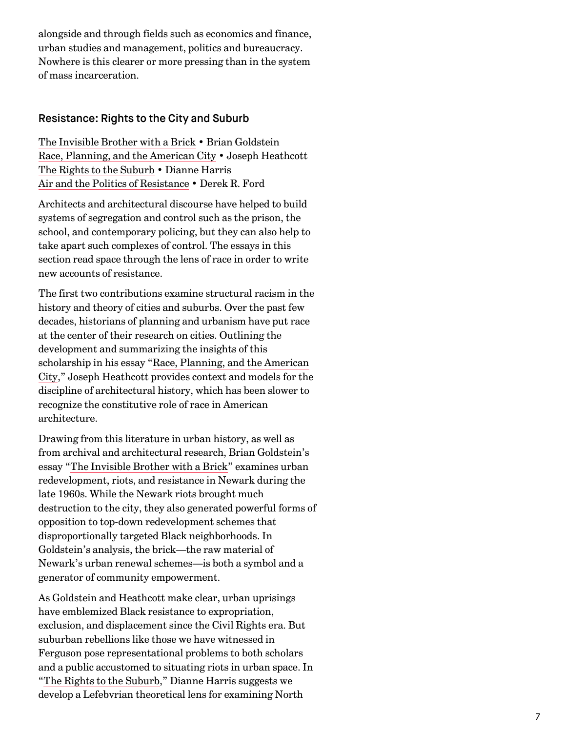alongside and through fields such as economics and finance, urban studies and management, politics and bureaucracy. Nowhere is this clearer or more pressing than in the system of mass incarceration.

# Resistance: Rights to the City and Suburb

[The Invisible Brother with a Brick](http://we-aggregate.org/piece/the-invisble-brother-with-a-brick) • Brian Goldstein [Race, Planning, and the American City](http://we-aggregate.org/piece/race-planning-and-the-american-city) • Joseph Heathcott [The Rights to the Suburb](http://we-aggregate.org/piece/the-rights-to-suburb) • Dianne Harris [Air and the Politics of Resistance](http://we-aggregate.org/piece/air-and-the-politics-of-resistance) • Derek R. Ford

Architects and architectural discourse have helped to build systems of segregation and control such as the prison, the school, and contemporary policing, but they can also help to take apart such complexes of control. The essays in this section read space through the lens of race in order to write new accounts of resistance.

The first two contributions examine structural racism in the history and theory of cities and suburbs. Over the past few decades, historians of planning and urbanism have put race at the center of their research on cities. Outlining the development and summarizing the insights of this [scholarship in his essay "Race, Planning, and the American](http://we-aggregate.org/piece/race-planning-and-the-american-city) City," Joseph Heathcott provides context and models for the discipline of architectural history, which has been slower to recognize the constitutive role of race in American architecture.

Drawing from this literature in urban history, as well as from archival and architectural research, Brian Goldstein's essay ["The Invisible Brother with a Brick](http://we-aggregate.org/piece/the-invisible-brother-with-a-brick)" examines urban redevelopment, riots, and resistance in Newark during the late 1960s. While the Newark riots brought much destruction to the city, they also generated powerful forms of opposition to top-down redevelopment schemes that disproportionally targeted Black neighborhoods. In Goldstein's analysis, the brick—the raw material of Newark's urban renewal schemes—is both a symbol and a generator of community empowerment.

As Goldstein and Heathcott make clear, urban uprisings have emblemized Black resistance to expropriation, exclusion, and displacement since the Civil Rights era. But suburban rebellions like those we have witnessed in Ferguson pose representational problems to both scholars and a public accustomed to situating riots in urban space. In ["The Rights to the Suburb,](http://we-aggregate.org/piece/the-rights-to-the-suburb)" Dianne Harris suggests we develop a Lefebvrian theoretical lens for examining North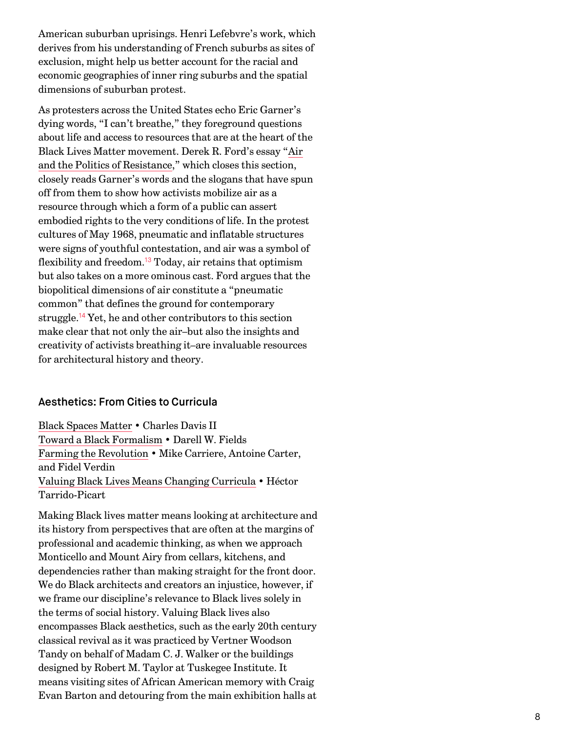American suburban uprisings. Henri Lefebvre's work, which derives from his understanding of French suburbs as sites of exclusion, might help us better account for the racial and economic geographies of inner ring suburbs and the spatial dimensions of suburban protest.

As protesters across the United States echo Eric Garner's dying words, "I can't breathe," they foreground questions about life and access to resources that are at the heart of the [Black Lives Matter movement. Derek R. Ford's essay "Air](http://we-aggregate.org/piece/air-and-the-politics-of-resistance) and the Politics of Resistance," which closes this section, closely reads Garner's words and the slogans that have spun off from them to show how activists mobilize air as a resource through which a form of a public can assert embodied rights to the very conditions of life. In the protest cultures of May 1968, pneumatic and inflatable structures were signs of youthful contestation, and air was a symbol of flexibility and freedom.<sup>[13](#page-11-4)</sup> Today, air retains that optimism but also takes on a more ominous cast. Ford argues that the biopolitical dimensions of air constitute a "pneumatic common" that defines the ground for contemporary struggle.<sup>[14](#page-11-5)</sup> Yet, he and other contributors to this section make clear that not only the air–but also the insights and creativity of activists breathing it–are invaluable resources for architectural history and theory.

## <span id="page-7-1"></span><span id="page-7-0"></span>Aesthetics: From Cities to Curricula

[Black Spaces Matter](http://we-aggregate.org/piece/black-spaces-matter) • Charles Davis II [Toward a Black Formalism](http://we-aggregate.org/piece/toward-a-black-formalism) • Darell W. Fields [Farming the Revolution](http://we-aggregate.org/piece/farming-the-revolution) • Mike Carriere, Antoine Carter, and Fidel Verdin [Valuing Black Lives Means Changing Curricula](http://we-aggregate.org/piece/valuing-black-lives-means-changing-the-curricula) • Héctor Tarrido-Picart

Making Black lives matter means looking at architecture and its history from perspectives that are often at the margins of professional and academic thinking, as when we approach Monticello and Mount Airy from cellars, kitchens, and dependencies rather than making straight for the front door. We do Black architects and creators an injustice, however, if we frame our discipline's relevance to Black lives solely in the terms of social history. Valuing Black lives also encompasses Black aesthetics, such as the early 20th century classical revival as it was practiced by Vertner Woodson Tandy on behalf of Madam C. J. Walker or the buildings designed by Robert M. Taylor at Tuskegee Institute. It means visiting sites of African American memory with Craig Evan Barton and detouring from the main exhibition halls at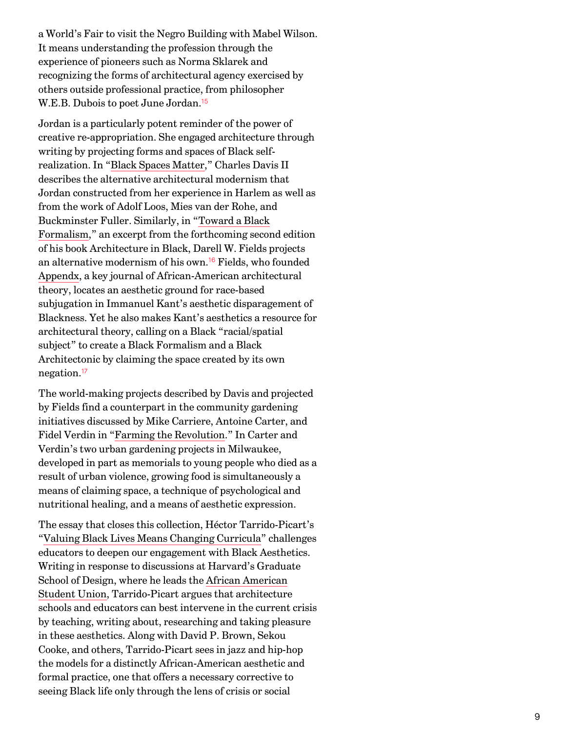a World's Fair to visit the Negro Building with Mabel Wilson. It means understanding the profession through the experience of pioneers such as Norma Sklarek and recognizing the forms of architectural agency exercised by others outside professional practice, from philosopher W.E.B. Dubois to poet June Jordan. [15](#page-11-6)

<span id="page-8-0"></span>Jordan is a particularly potent reminder of the power of creative re-appropriation. She engaged architecture through writing by projecting forms and spaces of Black selfrealization. In "[Black Spaces Matter](http://we-aggregate.org/piece/black-spaces-matter)," Charles Davis II describes the alternative architectural modernism that Jordan constructed from her experience in Harlem as well as from the work of Adolf Loos, Mies van der Rohe, and Buckminster Fuller. Similarly, in "Toward a Black [Formalism," an excerpt from the forthcoming secon](http://we-aggregate.org/piece/toward-a-black-formalism)d edition of his book Architecture in Black, Darell W. Fields projects an alternative modernism of his own.<sup>[16](#page-11-7)</sup> Fields, who founded [Appendx,](http://www.appendx.org/) a key journal of African-American architectural theory, locates an aesthetic ground for race-based subjugation in Immanuel Kant's aesthetic disparagement of Blackness. Yet he also makes Kant's aesthetics a resource for architectural theory, calling on a Black "racial/spatial subject" to create a Black Formalism and a Black Architectonic by claiming the space created by its own negation. [17](#page-11-8)

<span id="page-8-2"></span><span id="page-8-1"></span>The world-making projects described by Davis and projected by Fields find a counterpart in the community gardening initiatives discussed by Mike Carriere, Antoine Carter, and Fidel Verdin in ["Farming the Revolution](http://we-aggregate.org/piece/farming-the-revolution)." In Carter and Verdin's two urban gardening projects in Milwaukee, developed in part as memorials to young people who died as a result of urban violence, growing food is simultaneously a means of claiming space, a technique of psychological and nutritional healing, and a means of aesthetic expression.

The essay that closes this collection, Héctor Tarrido-Picart's ["Valuing Black Lives Means Changing Curricula](http://we-aggregate.org/piece/valuing-black-lives-means-changing-curricula)" challenges educators to deepen our engagement with Black Aesthetics. Writing in response to discussions at Harvard's Graduate School of Design, where he leads the African American [Student Union, Tarrido-Picart argues that architecture](http://gsdaasu.com/) schools and educators can best intervene in the current crisis by teaching, writing about, researching and taking pleasure in these aesthetics. Along with David P. Brown, Sekou Cooke, and others, Tarrido-Picart sees in jazz and hip-hop the models for a distinctly African-American aesthetic and formal practice, one that offers a necessary corrective to seeing Black life only through the lens of crisis or social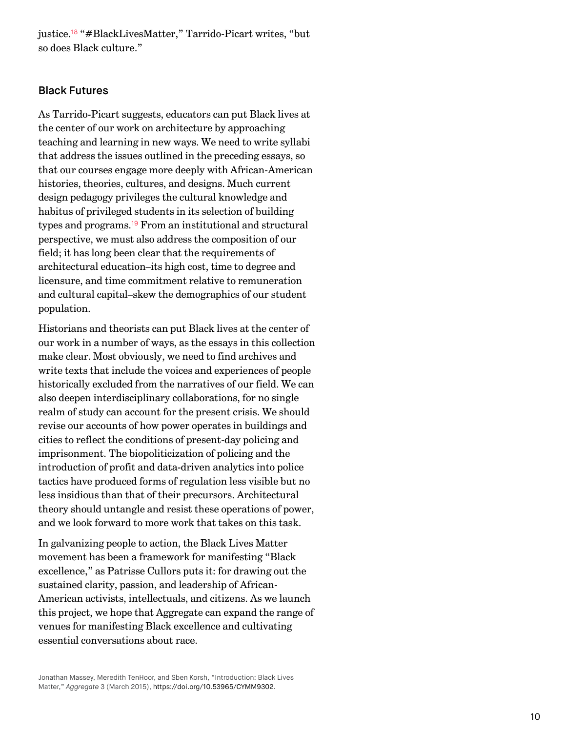<span id="page-9-0"></span>justice.<sup>[18](#page-11-9)</sup> "#BlackLivesMatter," Tarrido-Picart writes, "but so does Black culture."

## Black Futures

As Tarrido-Picart suggests, educators can put Black lives at the center of our work on architecture by approaching teaching and learning in new ways. We need to write syllabi that address the issues outlined in the preceding essays, so that our courses engage more deeply with African-American histories, theories, cultures, and designs. Much current design pedagogy privileges the cultural knowledge and habitus of privileged students in its selection of building types and programs.<sup>[19](#page-12-0)</sup> From an institutional and structural perspective, we must also address the composition of our field; it has long been clear that the requirements of architectural education–its high cost, time to degree and licensure, and time commitment relative to remuneration and cultural capital–skew the demographics of our student population.

<span id="page-9-1"></span>Historians and theorists can put Black lives at the center of our work in a number of ways, as the essays in this collection make clear. Most obviously, we need to find archives and write texts that include the voices and experiences of people historically excluded from the narratives of our field. We can also deepen interdisciplinary collaborations, for no single realm of study can account for the present crisis. We should revise our accounts of how power operates in buildings and cities to reflect the conditions of present-day policing and imprisonment. The biopoliticization of policing and the introduction of profit and data-driven analytics into police tactics have produced forms of regulation less visible but no less insidious than that of their precursors. Architectural theory should untangle and resist these operations of power, and we look forward to more work that takes on this task.

In galvanizing people to action, the Black Lives Matter movement has been a framework for manifesting "Black excellence," as Patrisse Cullors puts it: for drawing out the sustained clarity, passion, and leadership of African-American activists, intellectuals, and citizens. As we launch this project, we hope that Aggregate can expand the range of venues for manifesting Black excellence and cultivating essential conversations about race.

Jonathan Massey, Meredith TenHoor, and Sben Korsh, "Introduction: Black Lives Matter," Aggregate 3 (March 2015), [https://doi.org/10.53965/CYMM9302.](https://doi.org/10.53965/CYMM9302)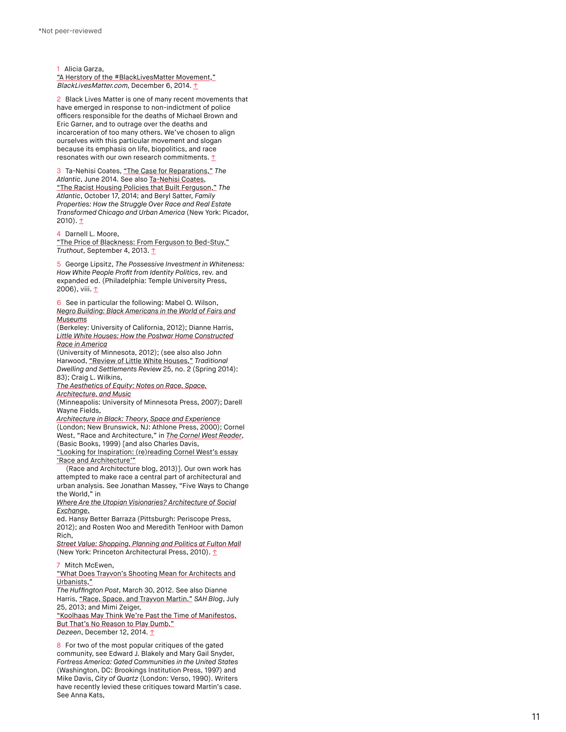<span id="page-10-0"></span>1 Alicia Garza,

["A Herstory of the #BlackLivesMatter Movement,"](http://blacklivesmatter.com/a-herstory-of-the-blacklivesmatter-movement/) BlackLivesMatter.com, December 6, 2014. [↑](#page-1-0)

<span id="page-10-1"></span>2 Black Lives Matter is one of many recent movements that have emerged in response to non-indictment of police officers responsible for the deaths of Michael Brown and Eric Garner, and to outrage over the deaths and incarceration of too many others. We've chosen to align ourselves with this particular movement and slogan because its emphasis on life, biopolitics, and race resonates with our own research commitments.  $\uparrow$ 

<span id="page-10-2"></span>3 Ta-Nehisi Coates, ["The Case for Reparations,"](http://www.theatlantic.com/features/archive/2014/05/the-case-for-reparations/361631/) The Atlantic, June 2014. See also [Ta-Nehisi Coates](http://www.theatlantic.com/ta-nehisi-coates/), ["The Racist Housing Policies that Built Ferguson,"](http://www.theatlantic.com/business/archive/2014/10/the-racist-housing-policies-that-built-ferguson/381595/) The Atlantic, October 17, 2014; and Beryl Satter, Family Properties: How the Struggle Over Race and Real Estate Transformed Chicago and Urban America (New York: Picador, 2010).  $T$ 

<span id="page-10-3"></span>4 Darnell L. Moore,

["The Price of Blackness: From Ferguson to Bed-Stuy,"](http://truth-out.org/op-ed/item/26015-the-price-of-blackness-from-ferguson-to-bed-stuy) Truthout, September 4, 2013. [↑](#page-1-3)

<span id="page-10-4"></span>5 George Lipsitz, The Possessive Investment in Whiteness: How White People Profit from Identity Politics, rev. and expanded ed. (Philadelphia: Temple University Press, 2006), viii. <u>[↑](#page-1-4)</u>

<span id="page-10-5"></span>6 See in particular the following: Mabel O. Wilson, [Negro Building: Black Americans in the World of Fairs and](http://www.ucpress.edu/book.php?isbn=9780520268425) Museums

(Berkeley: University of California, 2012); Dianne Harris, [Little White Houses: How the Postwar Home Constructed](http://www.upress.umn.edu/book-division/books/little-white-houses) Race in America

(University of Minnesota, 2012); (see also also John Harwood, ["Review of Little White Houses,"](http://connection.ebscohost.com/c/book-reviews/97909848/little-white-houses-how-postwar-home-constructed-race-america) Traditional Dwelling and Settlements Review 25, no. 2 (Spring 2014): 83); Craig L. Wilkins,

[The Aesthetics of Equity: Notes on Race, Space,](http://www.upress.umn.edu/book-division/books/the-aesthetics-of-equity) Architecture, and Music

(Minneapolis: University of Minnesota Press, 2007); Darell Wayne Fields,

[Architecture in Black: Theory, Space and Experience](http://www.bloomsbury.com/us/architecture-in-black-9781472567048/) (London; New Brunswick, NJ: Athlone Press, 2000); Cornel West, "Race and Architecture," in **[The Cornel West Reader](http://www.basicbooks.com/full-details?isbn=9780465091102)**, (Basic Books, 1999) [and also Charles Davis,

["Looking for Inspiration: \(re\)reading Cornel West's essay](http://raceandarchitecture.wordpress.com/2013/03/01/looking-for-inspiration-reading-cornel-wests-race-and-architecture/) 'Race and Architecture'"

(Race and Architecture blog, 2013)]. Our own work has attempted to make race a central part of architectural and urban analysis. See Jonathan Massey, "Five Ways to Change the World," in

[Where Are the Utopian Visionaries? Architecture of Social](http://wherearetheutopianvisionaries.com/) Exchange,

ed. Hansy Better Barraza (Pittsburgh: Periscope Press, 2012); and Rosten Woo and Meredith TenHoor with Damon Rich,

[Street Value: Shopping, Planning and Politics at Fulton Mall](http://www.papress.com/html/book.details.page.tpl?isbn=9781568988979) (New York: Princeton Architectural Press, 2010). [↑](#page-1-5)

<span id="page-10-6"></span>7 Mitch McEwen,

["What Does Trayvon's Shooting Mean for Architects and](http://www.huffingtonpost.com/mitch-mcewen/what-does-sanford-florida_b_1392677.html) Urbanists,"

The Huffington Post, March 30, 2012. See also Dianne Harris, ["Race, Space, and Trayvon Martin,"](http://www.sah.org/publications-and-research/sah-blog/sah-blog/2013/07/25/dianne-harris-race-space-and-trayvon-martin) SAH Blog, July 25, 2013; and Mimi Zeiger,

["Koolhaas May Think We're Past the Time of Manifestos,](http://www.dezeen.com/2014/12/12/mimi-zeiger-opinion-urban-unrest-police-violence-race-architecture-urbanism-ferguson/) But That's No Reason to Play Dumb," Dezeen, December 12, 2014. [↑](#page-1-6)

<span id="page-10-7"></span>8 For two of the most popular critiques of the gated community, see Edward J. Blakely and Mary Gail Snyder, Fortress America: Gated Communities in the United States (Washington, DC: Brookings Institution Press, 1997) and Mike Davis, City of Quartz (London: Verso, 1990). Writers have recently levied these critiques toward Martin's case. See Anna Kats,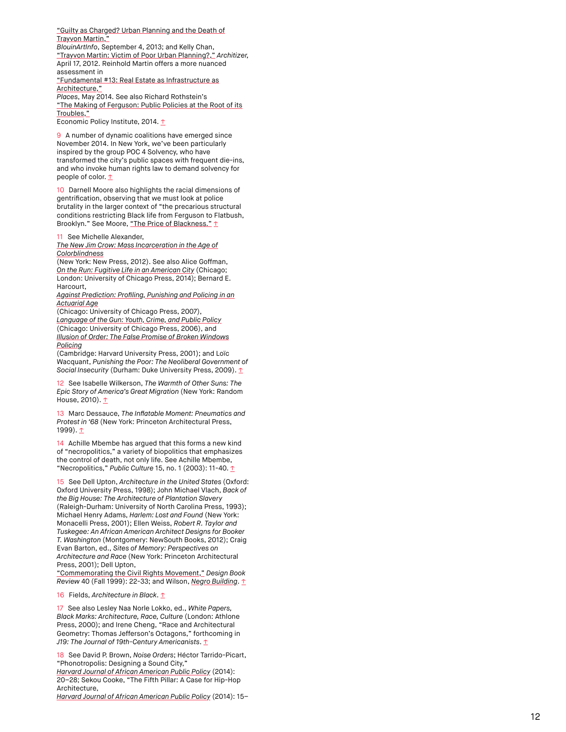["Guilty as Charged? Urban Planning and the Death of](http://www.blouinartinfo.com/news/story/951049/guilty-as-charged-urban-planning-and-the-death-of-trayvon) Trayvon Martin," BlouinArtInfo, September 4, 2013; and Kelly Chan, ["Trayvon Martin: Victim of Poor Urban Planning?,"](http://architizer.com/blog/trayvon-martin-victim-of-poor-urban-planning/) Architizer, April 17, 2012. Reinhold Martin offers a more nuanced assessment in ["Fundamental #13: Real Estate as Infrastructure as](http://placesjournal.org/article/fundamental-13/) Architecture,"

Places, May 2014. See also Richard Rothstein's ["The Making of Ferguson: Public Policies at the Root of its](http://www.epi.org/publication/making-ferguson/) Troubles,"

Economic Policy Institute, 2014. [↑](#page-1-7)

<span id="page-11-0"></span>9 A number of dynamic coalitions have emerged since November 2014. In New York, we've been particularly inspired by the group POC 4 Solvency, who have transformed the city's public spaces with frequent die-ins, and who invoke human rights law to demand solvency for people of color.  $\mathbf{\underline{\tau}}$ 

<span id="page-11-1"></span>10 Darnell Moore also highlights the racial dimensions of gentrification, observing that we must look at police brutality in the larger context of "the precarious structural conditions restricting Black life from Ferguson to Flatbush, Brooklyn." See Moore, ["The Price of Blackness."](http://truth-out.org/op-ed/item/26015-the-price-of-blackness-from-ferguson-to-bed-stuy) [↑](#page-2-1)

<span id="page-11-2"></span>11 See Michelle Alexander,

[The New Jim Crow: Mass Incarceration in the Age of](http://newjimcrow.com/) Colorblindness

(New York: New Press, 2012). See also Alice Goffman, [On the Run: Fugitive Life in an American City](http://www.press.uchicago.edu/ucp/books/book/chicago/O/bo18039324.html) (Chicago; London: University of Chicago Press, 2014); Bernard E. Harcourt,

[Against Prediction: Profiling, Punishing and Policing in an](http://press.uchicago.edu/ucp/books/book/chicago/A/bo4101022.html) Actuarial Age

(Chicago: University of Chicago Press, 2007), [Language of the Gun: Youth, Crime, and Public Policy](http://press.uchicago.edu/ucp/books/book/chicago/L/bo3648107.html) (Chicago: University of Chicago Press, 2006), and [Illusion of Order: The False Promise of Broken Windows](http://www.hup.harvard.edu/catalog.php?isbn=9780674015906) Policing

(Cambridge: Harvard University Press, 2001); and Loïc Wacquant, Punishing the Poor: The Neoliberal Government of Social Insecurity (Durham: Duke University Press, 2009). [↑](#page-3-0)

<span id="page-11-3"></span>12 See Isabelle Wilkerson, The Warmth of Other Suns: The Epic Story of America's Great Migration (New York: Random House, 2010). 1

<span id="page-11-4"></span>13 Marc Dessauce, The Inflatable Moment: Pneumatics and Protest in '68 (New York: Princeton Architectural Press, 1999). [↑](#page-7-0)

<span id="page-11-5"></span>14 Achille Mbembe has argued that this forms a new kind of "necropolitics," a variety of biopolitics that emphasizes the control of death, not only life. See Achille Mbembe, "Necropolitics," Public Culture 15, no. 1 (2003): 11-40. [↑](#page-7-1)

<span id="page-11-6"></span>15 See Dell Upton, Architecture in the United States (Oxford: Oxford University Press, 1998); John Michael Vlach, Back of the Big House: The Architecture of Plantation Slavery (Raleigh-Durham: University of North Carolina Press, 1993); Michael Henry Adams, Harlem: Lost and Found (New York: Monacelli Press, 2001); Ellen Weiss, Robert R. Taylor and Tuskegee: An African American Architect Designs for Booker T. Washington (Montgomery: NewSouth Books, 2012); Craig Evan Barton, ed., Sites of Memory: Perspectives on Architecture and Race (New York: Princeton Architectural Press, 2001); Dell Upton,

["Commemorating the Civil Rights Movement,"](http://www.arthistory.ucla.edu/people/faculty/dupton/CRM-DBR.pdf) Design Book Review 40 (Fall 1999): 22-33; and Wilson, [Negro Building](http://www.ucpress.edu/book.php?isbn=9780520268425). [↑](#page-8-0)

<span id="page-11-7"></span>16 Fields, Architecture in Black.  $\uparrow$ 

<span id="page-11-8"></span>17 See also Lesley Naa Norle Lokko, ed., White Papers, Black Marks: Architecture, Race, Culture (London: Athlone Press, 2000); and Irene Cheng, "Race and Architectural Geometry: Thomas Jefferson's Octagons," forthcoming in J19: The Journal of 19th-Century Americanists.  $\uparrow$ 

<span id="page-11-9"></span>18 See David P. Brown, Noise Orders; Héctor Tarrido-Picart, "Phonotropolis: Designing a Sound City," [Harvard Journal of African American Public Policy](http://harvardjaap.files.wordpress.com/2014/10/hjaapp_2014issue.pdf) (2014): 20–28; Sekou Cooke, "The Fifth Pillar: A Case for Hip-Hop Architecture,

[Harvard Journal of African American Public Policy](http://harvardjaap.files.wordpress.com/2014/10/hjaapp_2014issue.pdf) (2014): 15–